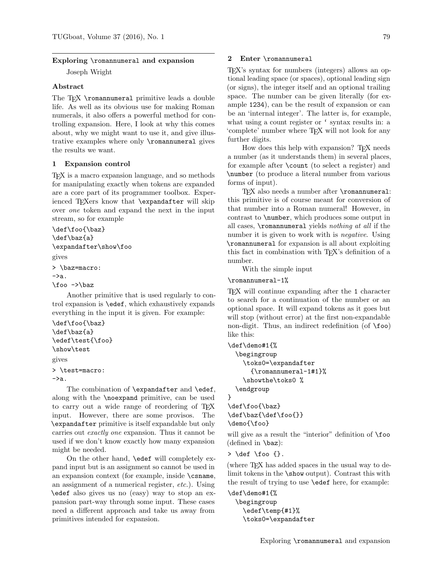#### Exploring \romannumeral and expansion

Joseph Wright

### Abstract

The T<sub>E</sub>X \romannumeral primitive leads a double life. As well as its obvious use for making Roman numerals, it also offers a powerful method for controlling expansion. Here, I look at why this comes about, why we might want to use it, and give illustrative examples where only \romannumeral gives the results we want.

#### 1 Expansion control

TEX is a macro expansion language, and so methods for manipulating exactly when tokens are expanded are a core part of its programmer toolbox. Experienced TEXers know that **\expandafter** will skip over one token and expand the next in the input stream, so for example

```
\def\foo{\baz}
\def\baz{a}
\expandafter\show\foo
gives
> \baz=macro:
\rightarrowa.
\foo ->\baz
```
Another primitive that is used regularly to control expansion is \edef, which exhaustively expands everything in the input it is given. For example:

```
\def\foo{\baz}
\def\baz{a}
\edef\test{\foo}
\show\test
gives
> \test=macro:
->a.
```
The combination of **\expandafter** and **\edef**, along with the \noexpand primitive, can be used to carry out a wide range of reordering of T<sub>E</sub>X input. However, there are some provisos. The \expandafter primitive is itself expandable but only carries out exactly one expansion. Thus it cannot be used if we don't know exactly how many expansion might be needed.

On the other hand, \edef will completely expand input but is an assignment so cannot be used in an expansion context (for example, inside \csname, an assignment of a numerical register, etc.). Using \edef also gives us no (easy) way to stop an expansion part-way through some input. These cases need a different approach and take us away from primitives intended for expansion.

## 2 Enter \romannumeral

TEX's syntax for numbers (integers) allows an optional leading space (or spaces), optional leading sign (or signs), the integer itself and an optional trailing space. The number can be given literally (for example 1234), can be the result of expansion or can be an 'internal integer'. The latter is, for example, what using a count register or ' syntax results in: a 'complete' number where TEX will not look for any further digits.

How does this help with expansion? T<sub>EX</sub> needs a number (as it understands them) in several places, for example after \count (to select a register) and \number (to produce a literal number from various forms of input).

TEX also needs a number after \romannumeral: this primitive is of course meant for conversion of that number into a Roman numeral! However, in contrast to \number, which produces some output in all cases, \romannumeral yields nothing at all if the number it is given to work with is *negative*. Using \romannumeral for expansion is all about exploiting this fact in combination with TEX's definition of a number.

With the simple input

\romannumeral-1%

TEX will continue expanding after the 1 character to search for a continuation of the number or an optional space. It will expand tokens as it goes but will stop (without error) at the first non-expandable non-digit. Thus, an indirect redefinition (of  $\iota$ foo) like this:

```
\def\demo#1{%
 \begingroup
    \toks0=\expandafter
      {\romannumeral-1#1}%
    \showthe\toks0 %
 \endgroup
}
```
\def\foo{\baz} \def\baz{\def\foo{}} \demo{\foo}

will give as a result the "interior" definition of  $\text{1}$ foo (defined in \baz):

 $> \def \{foo {\}}.$ 

(where TEX has added spaces in the usual way to delimit tokens in the \show output). Contrast this with the result of trying to use \edef here, for example:

```
\def\demo#1{%
 \begingroup
    \edef\temp{#1}%
    \toks0=\expandafter
```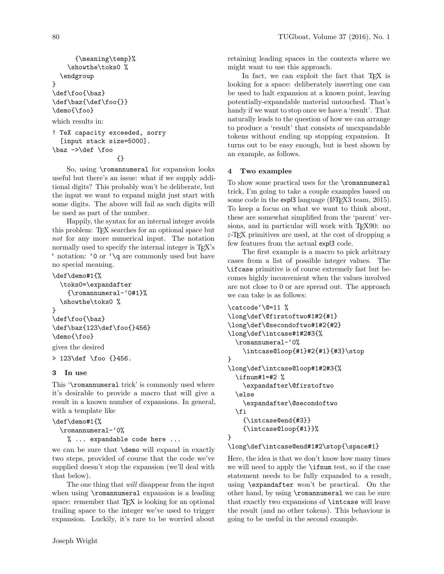```
{\meaning\temp}%
    \showthe\toks0 %
  \endgroup
}
\def\foo{\baz}
\def\baz{\def\foo{}}
\demo{\foo}
which results in:
! TeX capacity exceeded, sorry
  [input stack size=5000].
\baz ->\def \foo
                  {}
```
So, using \romannumeral for expansion looks useful but there's an issue: what if we supply additional digits? This probably won't be deliberate, but the input we want to expand might just start with some digits. The above will fail as such digits will be used as part of the number.

Happily, the syntax for an internal integer avoids this problem: TEX searches for an optional space but not for any more numerical input. The notation normally used to specify the internal integer is TEX's ' notation: '0 or '\q are commonly used but have no special meaning.

```
\def\demo#1{%
  \toks0=\expandafter
    {\romannumeral-'0#1}%
  \showthe\toks0 %
}
\def\foo{\baz}
\def\baz{123\def\foo{}456}
\demo{\foo}
gives the desired
> 123\def \foo {}456.
```
# 3 In use

This '\romannumeral trick' is commonly used where it's desirable to provide a macro that will give a result in a known number of expansions. In general, with a template like

```
\def\demo#1{%
```

```
\romannumeral-'0%
```
% ... expandable code here ...

we can be sure that \demo will expand in exactly two steps, provided of course that the code we've supplied doesn't stop the expansion (we'll deal with that below).

The one thing that will disappear from the input when using \romannumeral expansion is a leading space: remember that TEX is looking for an optional trailing space to the integer we've used to trigger expansion. Luckily, it's rare to be worried about retaining leading spaces in the contexts where we might want to use this approach.

In fact, we can exploit the fact that TEX is looking for a space: deliberately inserting one can be used to halt expansion at a known point, leaving potentially-expandable material untouched. That's handy if we want to stop once we have a 'result'. That naturally leads to the question of how we can arrange to produce a 'result' that consists of unexpandable tokens without ending up stopping expansion. It turns out to be easy enough, but is best shown by an example, as follows.

# 4 Two examples

To show some practical uses for the \romannumeral trick, I'm going to take a couple examples based on some code in the expl3 language (LAT<sub>FX3</sub> team, 2015). To keep a focus on what we want to think about, these are somewhat simplified from the 'parent' versions, and in particular will work with T<sub>E</sub>X90: no  $\varepsilon$ -T<sub>E</sub>X primitives are used, at the cost of dropping a few features from the actual expl3 code.

The first example is a macro to pick arbitrary cases from a list of possible integer values. The \ifcase primitive is of course extremely fast but becomes highly inconvenient when the values involved are not close to 0 or are spread out. The approach we can take is as follows:

```
\catcode'\@=11 %
\long\def\@firstoftwo#1#2{#1}
\long\def\@secondoftwo#1#2{#2}
\long\def\intcase#1#2#3{%
  \romannumeral-'0%
    \intcase@loop{#1}#2{#1}{#3}\stop
}
\long\def\intcase@loop#1#2#3{%
  \ifnum#1=#2 %
    \expandafter\@firstoftwo
  \else
    \expandafter\@secondoftwo
  \fi
    {\intcase@end{#3}}
    {\intcase@loop{#1}}%
}
```
\long\def\intcase@end#1#2\stop{\space#1}

Here, the idea is that we don't know how many times we will need to apply the \ifnum test, so if the case statement needs to be fully expanded to a result, using \expandafter won't be practical. On the other hand, by using \romannumeral we can be sure that exactly two expansions of \intcase will leave the result (and no other tokens). This behaviour is going to be useful in the second example.